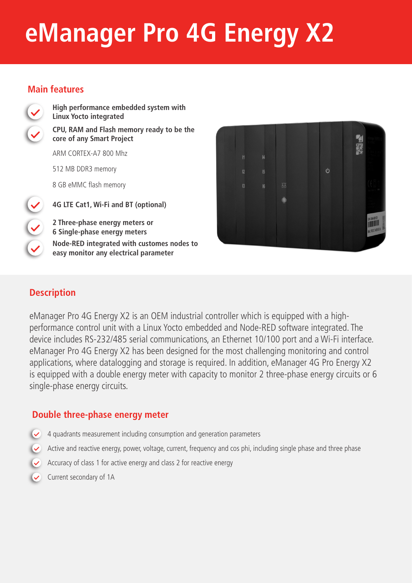# **eManager Pro 4G Energy X2**

### **Main features**



**High performance embedded system with Linux Yocto integrated CPU, RAM and Flash memory ready to be the core of any Smart Project** 

ARM CORTEX-A7 800 Mhz

512 MB DDR3 memory

8 GB eMMC flash memory

**4G LTE Cat1, Wi-Fi and BT (optional)**

**2 Three-phase energy meters or 6 Single-phase energy meters Node-RED integrated with customes nodes to easy monitor any electrical parameter**



## **Description**

eManager Pro 4G Energy X2 is an OEM industrial controller which is equipped with a highperformance control unit with a Linux Yocto embedded and Node-RED software integrated. The device includes RS-232/485 serial communications, an Ethernet 10/100 port and a Wi-Fi interface. eManager Pro 4G Energy X2 has been designed for the most challenging monitoring and control applications, where datalogging and storage is required. In addition, eManager 4G Pro Energy X2 is equipped with a double energy meter with capacity to monitor 2 three-phase energy circuits or 6 single-phase energy circuits.

#### **Double three-phase energy meter**

- 4 quadrants measurement including consumption and generation parameters  $\overline{\mathsf{R}}$
- $\vee$  Active and reactive energy, power, voltage, current, frequency and cos phi, including single phase and three phase
- Accuracy of class 1 for active energy and class 2 for reactive energy
- Current secondary of 1A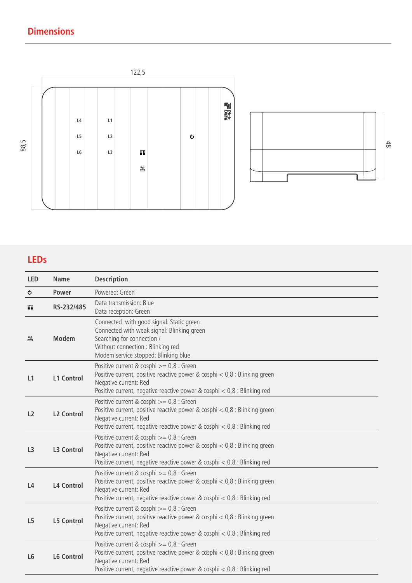## **Dimensions**





## **LEDs**

| <b>LED</b>     | <b>Name</b>       | <b>Description</b>                                                                                                                                                                                                              |  |
|----------------|-------------------|---------------------------------------------------------------------------------------------------------------------------------------------------------------------------------------------------------------------------------|--|
| Ò.             | <b>Power</b>      | Powered: Green                                                                                                                                                                                                                  |  |
| Ш              | RS-232/485        | Data transmission: Blue<br>Data reception: Green                                                                                                                                                                                |  |
| 鬯              | <b>Modem</b>      | Connected with good signal: Static green<br>Connected with weak signal: Blinking green<br>Searching for connection /<br>Without connection : Blinking red<br>Modem service stopped: Blinking blue                               |  |
| L1             | <b>L1 Control</b> | Positive current & cosphi >= 0,8 : Green<br>Positive current, positive reactive power & cosphi $< 0.8$ : Blinking green<br>Negative current: Red<br>Positive current, negative reactive power & cosphi $<$ 0,8 : Blinking red   |  |
| L <sub>2</sub> | <b>L2 Control</b> | Positive current & cosphi $>= 0.8$ : Green<br>Positive current, positive reactive power & cosphi $< 0.8$ : Blinking green<br>Negative current: Red<br>Positive current, negative reactive power & cosphi $<$ 0,8 : Blinking red |  |
| L <sub>3</sub> | <b>L3 Control</b> | Positive current & cosphi >= 0,8 : Green<br>Positive current, positive reactive power & cosphi $< 0.8$ : Blinking green<br>Negative current: Red<br>Positive current, negative reactive power & cosphi $< 0.8$ : Blinking red   |  |
| L4             | <b>L4 Control</b> | Positive current & cosphi >= 0,8 : Green<br>Positive current, positive reactive power & cosphi $< 0.8$ : Blinking green<br>Negative current: Red<br>Positive current, negative reactive power & cosphi $< 0.8$ : Blinking red   |  |
| L <sub>5</sub> | <b>L5 Control</b> | Positive current & cosphi >= 0,8 : Green<br>Positive current, positive reactive power & cosphi $<$ 0,8 : Blinking green<br>Negative current: Red<br>Positive current, negative reactive power & cosphi $< 0.8$ : Blinking red   |  |
| L <sub>6</sub> | <b>L6 Control</b> | Positive current & cosphi >= 0,8 : Green<br>Positive current, positive reactive power & cosphi < 0,8 : Blinking green<br>Negative current: Red<br>Positive current, negative reactive power & cosphi $<$ 0,8 : Blinking red     |  |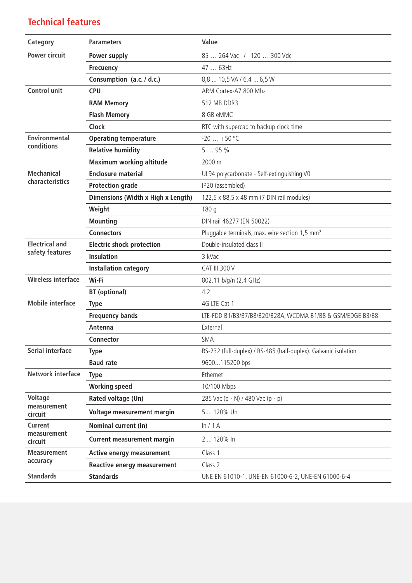## **Technical features**

| Category                  | <b>Parameters</b>                  | Value                                                           |
|---------------------------|------------------------------------|-----------------------------------------------------------------|
| <b>Power circuit</b>      | Power supply                       | 85  264 Vac / 120  300 Vdc                                      |
|                           | <b>Frecuency</b>                   | 47  63Hz                                                        |
|                           | Consumption (a.c. / d.c.)          | 8,8  10,5 VA / 6,4  6,5 W                                       |
| <b>Control unit</b>       | <b>CPU</b>                         | ARM Cortex-A7 800 Mhz                                           |
|                           | <b>RAM Memory</b>                  | 512 MB DDR3                                                     |
|                           | <b>Flash Memory</b>                | 8 GB eMMC                                                       |
|                           | <b>Clock</b>                       | RTC with supercap to backup clock time                          |
| <b>Environmental</b>      | <b>Operating temperature</b>       | $-20$ $+50$ °C                                                  |
| conditions                | <b>Relative humidity</b>           | 595%                                                            |
|                           | <b>Maximum working altitude</b>    | 2000 m                                                          |
| <b>Mechanical</b>         | <b>Enclosure material</b>          | UL94 polycarbonate - Self-extinguishing V0                      |
| characteristics           | <b>Protection grade</b>            | IP20 (assembled)                                                |
|                           | Dimensions (Width x High x Length) | 122,5 x 88,5 x 48 mm (7 DIN rail modules)                       |
|                           | Weight                             | 180q                                                            |
|                           | <b>Mounting</b>                    | DIN rail 46277 (EN 50022)                                       |
|                           | <b>Connectors</b>                  | Pluggable terminals, max. wire section 1,5 mm <sup>2</sup>      |
| <b>Electrical and</b>     | <b>Electric shock protection</b>   | Double-insulated class II                                       |
| safety features           | <b>Insulation</b>                  | 3 kVac                                                          |
|                           | <b>Installation category</b>       | <b>CAT III 300 V</b>                                            |
| <b>Wireless interface</b> | Wi-Fi                              | 802.11 b/g/n (2.4 GHz)                                          |
|                           | <b>BT</b> (optional)               | 4.2                                                             |
| <b>Mobile interface</b>   | <b>Type</b>                        | 4G LTE Cat 1                                                    |
|                           | <b>Frequency bands</b>             | LTE-FDD B1/B3/B7/B8/B20/B28A, WCDMA B1/B8 & GSM/EDGE B3/B8      |
|                           | Antenna                            | External                                                        |
|                           | <b>Connector</b>                   | <b>SMA</b>                                                      |
| <b>Serial interface</b>   | <b>Type</b>                        | RS-232 (full-duplex) / RS-485 (half-duplex). Galvanic isolation |
|                           | <b>Baud rate</b>                   | 9600115200 bps                                                  |
| <b>Network interface</b>  | <b>Type</b>                        | Ethernet                                                        |
|                           | <b>Working speed</b>               | 10/100 Mbps                                                     |
| <b>Voltage</b>            | Rated voltage (Un)                 | 285 Vac (p - N) / 480 Vac (p - p)                               |
| measurement<br>circuit    | Voltage measurement margin         | 5  120% Un                                                      |
| <b>Current</b>            | Nominal current (In)               | ln/1A                                                           |
| measurement<br>circuit    | <b>Current measurement margin</b>  | 2  120% In                                                      |
| <b>Measurement</b>        | Active energy measurement          | Class 1                                                         |
| accuracy                  | <b>Reactive energy measurement</b> | Class 2                                                         |
| <b>Standards</b>          | <b>Standards</b>                   | UNE EN 61010-1, UNE-EN 61000-6-2, UNE-EN 61000-6-4              |